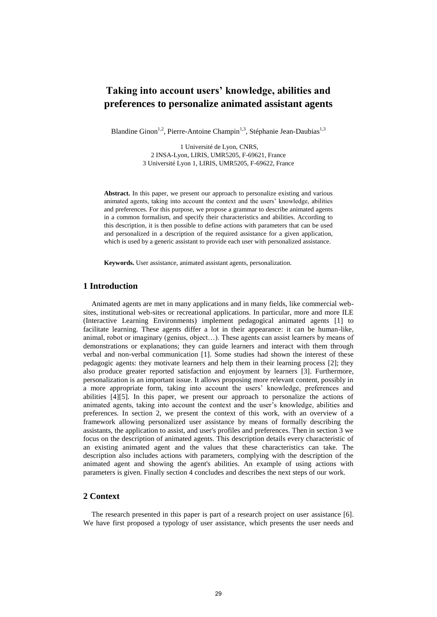# **Taking into account users' knowledge, abilities and preferences to personalize animated assistant agents**

Blandine Ginon<sup>1,2</sup>, Pierre-Antoine Champin<sup>1,3</sup>, Stéphanie Jean-Daubias<sup>1,3</sup>

1 Université de Lyon, CNRS, 2 INSA-Lyon, LIRIS, UMR5205, F-69621, France 3 Université Lyon 1, LIRIS, UMR5205, F-69622, France

**Abstract.** In this paper, we present our approach to personalize existing and various animated agents, taking into account the context and the users' knowledge, abilities and preferences. For this purpose, we propose a grammar to describe animated agents in a common formalism, and specify their characteristics and abilities. According to this description, it is then possible to define actions with parameters that can be used and personalized in a description of the required assistance for a given application, which is used by a generic assistant to provide each user with personalized assistance.

**Keywords.** User assistance, animated assistant agents, personalization.

# **1 Introduction**

Animated agents are met in many applications and in many fields, like commercial websites, institutional web-sites or recreational applications. In particular, more and more ILE (Interactive Learning Environments) implement pedagogical animated agents [\[1\]](#page-5-0) to facilitate learning. These agents differ a lot in their appearance: it can be human-like, animal, robot or imaginary (genius, object…). These agents can assist learners by means of demonstrations or explanations; they can guide learners and interact with them through verbal and non-verbal communication [\[1\].](#page-5-0) Some studies had shown the interest of these pedagogic agents: they motivate learners and help them in their learning process [\[2\];](#page-5-1) they also produce greater reported satisfaction and enjoyment by learners [\[3\].](#page-5-2) Furthermore, personalization is an important issue. It allows proposing more relevant content, possibly in a more appropriate form, taking into account the users' knowledge, preferences and abilities [\[4\]\[5\].](#page-5-3) In this paper, we present our approach to personalize the actions of animated agents, taking into account the context and the user's knowledge, abilities and preferences. In section 2, we present the context of this work, with an overview of a framework allowing personalized user assistance by means of formally describing the assistants, the application to assist, and user's profiles and preferences. Then in section 3 we focus on the description of animated agents. This description details every characteristic of an existing animated agent and the values that these characteristics can take. The description also includes actions with parameters, complying with the description of the animated agent and showing the agent's abilities. An example of using actions with parameters is given. Finally section 4 concludes and describes the next steps of our work.

# **2 Context**

The research presented in this paper is part of a research project on user assistance [\[6\].](#page-5-4) We have first proposed a typology of user assistance, which presents the user needs and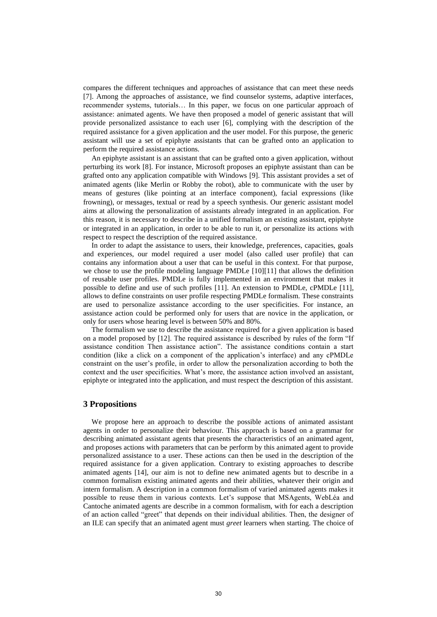compares the different techniques and approaches of assistance that can meet these needs [\[7\].](#page-5-5) Among the approaches of assistance, we find counselor systems, adaptive interfaces, recommender systems, tutorials… In this paper, we focus on one particular approach of assistance: animated agents. We have then proposed a model of generic assistant that will provide personalized assistance to each user [\[6\],](#page-5-4) complying with the description of the required assistance for a given application and the user model. For this purpose, the generic assistant will use a set of epiphyte assistants that can be grafted onto an application to perform the required assistance actions.

An epiphyte assistant is an assistant that can be grafted onto a given application, without perturbing its work [\[8\].](#page-5-6) For instance, Microsoft proposes an epiphyte assistant than can be grafted onto any application compatible with Windows [\[9\].](#page-5-7) This assistant provides a set of animated agents (like Merlin or Robby the robot), able to communicate with the user by means of gestures (like pointing at an interface component), facial expressions (like frowning), or messages, textual or read by a speech synthesis. Our generic assistant model aims at allowing the personalization of assistants already integrated in an application. For this reason, it is necessary to describe in a unified formalism an existing assistant, epiphyte or integrated in an application, in order to be able to run it, or personalize its actions with respect to respect the description of the required assistance.

In order to adapt the assistance to users, their knowledge, preferences, capacities, goals and experiences, our model required a user model (also called user profile) that can contains any information about a user that can be useful in this context. For that purpose, we chose to use the profile modeling language PMDLe [\[10\]\[11\]](#page-5-8) that allows the definition of reusable user profiles. PMDLe is fully implemented in an environment that makes it possible to define and use of such profiles [\[11\].](#page-5-9) An extension to PMDLe, cPMDLe [\[11\],](#page-5-9) allows to define constraints on user profile respecting PMDLe formalism. These constraints are used to personalize assistance according to the user specificities. For instance, an assistance action could be performed only for users that are novice in the application, or only for users whose hearing level is between 50% and 80%.

The formalism we use to describe the assistance required for a given application is based on a model proposed by [\[12\].](#page-5-10) The required assistance is described by rules of the form "If assistance condition Then assistance action". The assistance conditions contain a start condition (like a click on a component of the application's interface) and any cPMDLe constraint on the user's profile, in order to allow the personalization according to both the context and the user specificities. What's more, the assistance action involved an assistant, epiphyte or integrated into the application, and must respect the description of this assistant.

### **3 Propositions**

We propose here an approach to describe the possible actions of animated assistant agents in order to personalize their behaviour. This approach is based on a grammar for describing animated assistant agents that presents the characteristics of an animated agent, and proposes actions with parameters that can be perform by this animated agent to provide personalized assistance to a user. These actions can then be used in the description of the required assistance for a given application. Contrary to existing approaches to describe animated agents [\[14\],](#page-5-11) our aim is not to define new animated agents but to describe in a common formalism existing animated agents and their abilities, whatever their origin and intern formalism. A description in a common formalism of varied animated agents makes it possible to reuse them in various contexts. Let's suppose that MSAgents, WebLéa and Cantoche animated agents are describe in a common formalism, with for each a description of an action called "greet" that depends on their individual abilities. Then, the designer of an ILE can specify that an animated agent must *greet* learners when starting. The choice of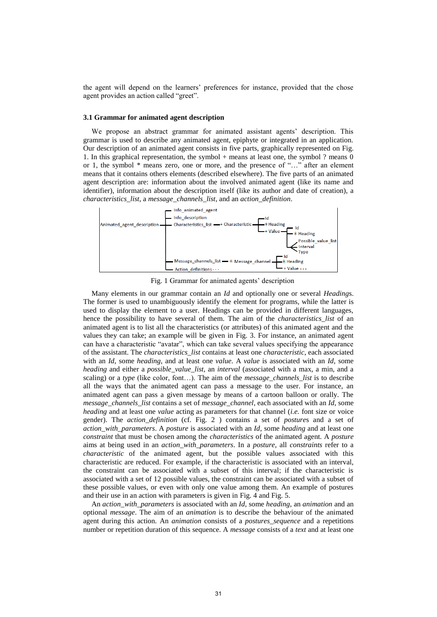the agent will depend on the learners' preferences for instance, provided that the chose agent provides an action called "greet".

#### **3.1 Grammar for animated agent description**

We propose an abstract grammar for animated assistant agents' description. This grammar is used to describe any animated agent, epiphyte or integrated in an application. Our description of an animated agent consists in five parts, graphically represented on [Fig.](#page-2-0)  1. In this graphical representation, the symbol + means at least one, the symbol ? means 0 or 1, the symbol \* means zero, one or more, and the presence of "…" after an element means that it contains others elements (described elsewhere). The five parts of an animated agent description are: information about the involved animated agent (like its name and identifier), information about the description itself (like its author and date of creation), a *characteristics\_list*, a *message\_channels\_list*, and an *action\_definition*.



Fig. 1 Grammar for animated agents' description

<span id="page-2-0"></span>Many elements in our grammar contain an *Id* and optionally one or several *Heading*s. The former is used to unambiguously identify the element for programs, while the latter is used to display the element to a user. Headings can be provided in different languages, hence the possibility to have several of them. The aim of the *characteristics\_list* of an animated agent is to list all the characteristics (or attributes) of this animated agent and the values they can take; an example will be given in [Fig. 3.](#page-3-0) For instance, an animated agent can have a characteristic "avatar", which can take several values specifying the appearance of the assistant. The *characteristics\_list* contains at least one *characteristic*, each associated with an *Id*, some *heading*, and at least one *value*. A *value* is associated with an *Id*, some *heading* and either a *possible\_value\_list*, an *interval* (associated with a max, a min, and a scaling) or a *type* (like color, font…). The aim of the *message\_channels\_list* is to describe all the ways that the animated agent can pass a message to the user. For instance, an animated agent can pass a given message by means of a cartoon balloon or orally. The *message\_channels\_list* contains a set of *message\_channel*, each associated with an *Id*, some *heading* and at least one *value* acting as parameters for that channel (*i.e.* font size or voice gender). The *action\_definition* (cf. [Fig. 2 \)](#page-3-1) contains a set of *posture*s and a set of *action\_with\_parameters*. A *posture* is associated with an *Id*, some *heading* and at least one *constraint* that must be chosen among the *characteristics* of the animated agent. A *posture* aims at being used in an *action\_with\_parameters*. In a *posture*, all *constraints* refer to a *characteristic* of the animated agent, but the possible values associated with this characteristic are reduced. For example, if the characteristic is associated with an interval, the constraint can be associated with a subset of this interval; if the characteristic is associated with a set of 12 possible values, the constraint can be associated with a subset of these possible values, or even with only one value among them. An example of postures and their use in an action with parameters is given in [Fig. 4](#page-4-0) an[d Fig.](#page-4-1) 5.

An *action\_with\_parameters* is associated with an *Id*, some *heading*, an *animation* and an optional *message*. The aim of an *animation* is to describe the behaviour of the animated agent during this action. An *animation* consists of a *postures\_sequence* and a repetitions number or repetition duration of this sequence. A *message* consists of a *text* and at least one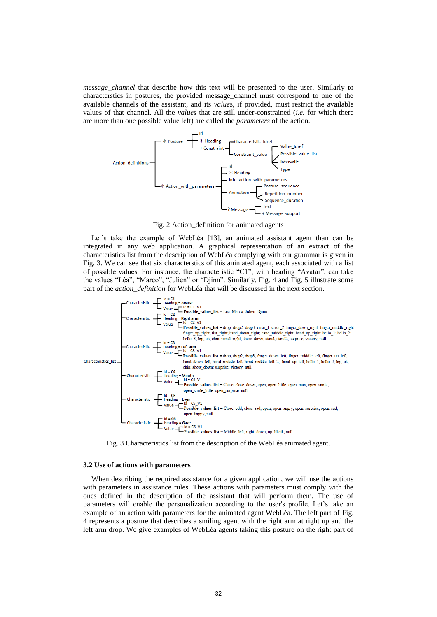*message\_channel* that describe how this text will be presented to the user. Similarly to characterstics in postures, the provided message\_channel must correspond to one of the available channels of the assistant, and its *value*s, if provided, must restrict the available values of that channel. All the *value*s that are still under-constrained (*i.e.* for which there are more than one possible value left) are called the *parameters* of the action.



Fig. 2 Action\_definition for animated agents

<span id="page-3-1"></span>Let's take the example of WebLéa [\[13\],](#page-5-12) an animated assistant agent than can be integrated in any web application. A graphical representation of an extract of the characteristics list from the description of WebLéa complying with our grammar is given in [Fig. 3.](#page-3-0) We can see that six characterstics of this animated agent, each associated with a list of possible values. For instance, the characteristic "C1", with heading "Avatar", can take the values "Léa", "Marco", "Julien" or "Djinn". Similarly, Fig. 4 and Fig. 5 illustrate some part of the *action\_definition* for WebLéa that will be discussed in the next section.



<span id="page-3-0"></span>Fig. 3 Characteristics list from the description of the WebLéa animated agent.

#### **3.2 Use of actions with parameters**

When describing the required assistance for a given application, we will use the actions with parameters in assistance rules. These actions with parameters must comply with the ones defined in the description of the assistant that will perform them. The use of parameters will enable the personalization according to the user's profile. Let's take an example of an action with parameters for the animated agent WebLéa. The left part of [Fig.](#page-4-0)  4 represents a posture that describes a smiling agent with the right arm at right up and the left arm drop. We give examples of WebLéa agents taking this posture on the right part of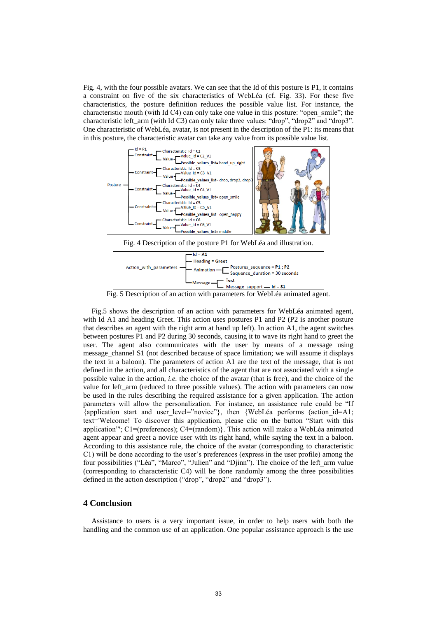[Fig. 4](#page-4-0), with the four possible avatars. We can see that the Id of this posture is P1, it contains a constraint on five of the six characteristics of WebLéa (cf. [Fig. 33](#page-3-0)). For these five characteristics, the posture definition reduces the possible value list. For instance, the characteristic mouth (with Id C4) can only take one value in this posture: "open\_smile"; the characteristic left arm (with Id C3) can only take three values: "drop", "drop2" and "drop3". One characteristic of WebLéa, avatar, is not present in the description of the P1: its means that in this posture, the characteristic avatar can take any value from its possible value list.



<span id="page-4-0"></span>Fig. 4 Description of the posture P1 for WebLéa and illustration.



Fig. 5 Description of an action with parameters for WebLéa animated agent.

<span id="page-4-1"></span>[Fig.5](#page-4-1) shows the description of an action with parameters for WebLéa animated agent, with Id A1 and heading Greet. This action uses postures P1 and P2 (P2 is another posture that describes an agent with the right arm at hand up left). In action A1, the agent switches between postures P1 and P2 during 30 seconds, causing it to wave its right hand to greet the user. The agent also communicates with the user by means of a message using message\_channel S1 (not described because of space limitation; we will assume it displays the text in a baloon). The parameters of action A1 are the text of the message, that is not defined in the action, and all characteristics of the agent that are not associated with a single possible value in the action, *i.e.* the choice of the avatar (that is free), and the choice of the value for left\_arm (reduced to three possible values). The action with parameters can now be used in the rules describing the required assistance for a given application. The action parameters will allow the personalization. For instance, an assistance rule could be "If {application start and user\_level="novice"}, then {WebLéa performs (action\_id=A1; text='Welcome! To discover this application, please clic on the button "Start with this application"'; C1=(preferences); C4=(random)}. This action will make a WebLéa animated agent appear and greet a novice user with its right hand, while saying the text in a baloon. According to this assistance rule, the choice of the avatar (corresponding to characteristic C1) will be done according to the user's preferences (express in the user profile) among the four possibilities ("Léa", "Marco", "Julien" and "Djinn"). The choice of the left\_arm value (corresponding to characteristic C4) will be done randomly among the three possibilities defined in the action description ("drop", "drop2" and "drop3").

## **4 Conclusion**

Assistance to users is a very important issue, in order to help users with both the handling and the common use of an application. One popular assistance approach is the use